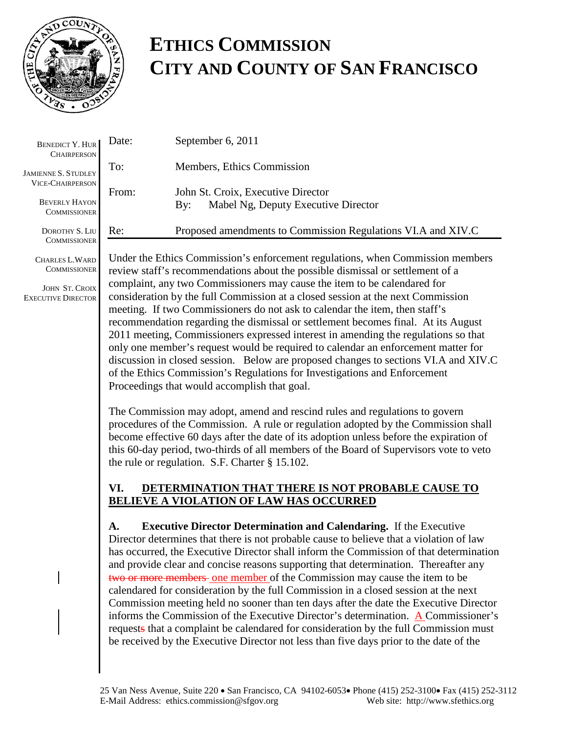

## **ETHICS COMMISSION CITY AND COUNTY OF SAN FRANCISCO**

| <b>BENEDICT Y. HUR</b><br><b>CHAIRPERSON</b>                           | Date:                                                                                                                                                                                                                                                                                                                                                                                                                                                                                                                                                                                                                                                                                                                                                                                                                                                                                              | September 6, 2011                                                                                                                                                                                                                                                                                                                                                                                                                                                                                                                                                                                                                                                                                                                                                                                                                                                                                     |  |
|------------------------------------------------------------------------|----------------------------------------------------------------------------------------------------------------------------------------------------------------------------------------------------------------------------------------------------------------------------------------------------------------------------------------------------------------------------------------------------------------------------------------------------------------------------------------------------------------------------------------------------------------------------------------------------------------------------------------------------------------------------------------------------------------------------------------------------------------------------------------------------------------------------------------------------------------------------------------------------|-------------------------------------------------------------------------------------------------------------------------------------------------------------------------------------------------------------------------------------------------------------------------------------------------------------------------------------------------------------------------------------------------------------------------------------------------------------------------------------------------------------------------------------------------------------------------------------------------------------------------------------------------------------------------------------------------------------------------------------------------------------------------------------------------------------------------------------------------------------------------------------------------------|--|
| <b>JAMIENNE S. STUDLEY</b>                                             | To:                                                                                                                                                                                                                                                                                                                                                                                                                                                                                                                                                                                                                                                                                                                                                                                                                                                                                                | Members, Ethics Commission                                                                                                                                                                                                                                                                                                                                                                                                                                                                                                                                                                                                                                                                                                                                                                                                                                                                            |  |
| <b>VICE-CHAIRPERSON</b><br><b>BEVERLY HAYON</b><br><b>COMMISSIONER</b> | From:                                                                                                                                                                                                                                                                                                                                                                                                                                                                                                                                                                                                                                                                                                                                                                                                                                                                                              | John St. Croix, Executive Director<br>Mabel Ng, Deputy Executive Director<br>By:                                                                                                                                                                                                                                                                                                                                                                                                                                                                                                                                                                                                                                                                                                                                                                                                                      |  |
| DOROTHY S. LIU<br><b>COMMISSIONER</b>                                  | Re:                                                                                                                                                                                                                                                                                                                                                                                                                                                                                                                                                                                                                                                                                                                                                                                                                                                                                                | Proposed amendments to Commission Regulations VI.A and XIV.C                                                                                                                                                                                                                                                                                                                                                                                                                                                                                                                                                                                                                                                                                                                                                                                                                                          |  |
| CHARLES L. WARD<br><b>COMMISSIONER</b>                                 | Under the Ethics Commission's enforcement regulations, when Commission members<br>review staff's recommendations about the possible dismissal or settlement of a<br>complaint, any two Commissioners may cause the item to be calendared for<br>consideration by the full Commission at a closed session at the next Commission<br>meeting. If two Commissioners do not ask to calendar the item, then staff's<br>recommendation regarding the dismissal or settlement becomes final. At its August<br>2011 meeting, Commissioners expressed interest in amending the regulations so that<br>only one member's request would be required to calendar an enforcement matter for<br>discussion in closed session. Below are proposed changes to sections VI.A and XIV.C<br>of the Ethics Commission's Regulations for Investigations and Enforcement<br>Proceedings that would accomplish that goal. |                                                                                                                                                                                                                                                                                                                                                                                                                                                                                                                                                                                                                                                                                                                                                                                                                                                                                                       |  |
| JOHN ST. CROIX<br><b>EXECUTIVE DIRECTOR</b>                            |                                                                                                                                                                                                                                                                                                                                                                                                                                                                                                                                                                                                                                                                                                                                                                                                                                                                                                    |                                                                                                                                                                                                                                                                                                                                                                                                                                                                                                                                                                                                                                                                                                                                                                                                                                                                                                       |  |
|                                                                        |                                                                                                                                                                                                                                                                                                                                                                                                                                                                                                                                                                                                                                                                                                                                                                                                                                                                                                    | The Commission may adopt, amend and rescind rules and regulations to govern<br>procedures of the Commission. A rule or regulation adopted by the Commission shall<br>become effective 60 days after the date of its adoption unless before the expiration of<br>this 60-day period, two-thirds of all members of the Board of Supervisors vote to veto<br>the rule or regulation. S.F. Charter $\S 15.102$ .                                                                                                                                                                                                                                                                                                                                                                                                                                                                                          |  |
|                                                                        | VI.                                                                                                                                                                                                                                                                                                                                                                                                                                                                                                                                                                                                                                                                                                                                                                                                                                                                                                | DETERMINATION THAT THERE IS NOT PROBABLE CAUSE TO<br><b>BELIEVE A VIOLATION OF LAW HAS OCCURRED</b>                                                                                                                                                                                                                                                                                                                                                                                                                                                                                                                                                                                                                                                                                                                                                                                                   |  |
|                                                                        | A.                                                                                                                                                                                                                                                                                                                                                                                                                                                                                                                                                                                                                                                                                                                                                                                                                                                                                                 | <b>Executive Director Determination and Calendaring.</b> If the Executive<br>Director determines that there is not probable cause to believe that a violation of law<br>has occurred, the Executive Director shall inform the Commission of that determination<br>and provide clear and concise reasons supporting that determination. Thereafter any<br>two or more members-one member of the Commission may cause the item to be<br>calendared for consideration by the full Commission in a closed session at the next<br>Commission meeting held no sooner than ten days after the date the Executive Director<br>informs the Commission of the Executive Director's determination. $\triangle$ Commissioner's<br>requests that a complaint be calendared for consideration by the full Commission must<br>be received by the Executive Director not less than five days prior to the date of the |  |